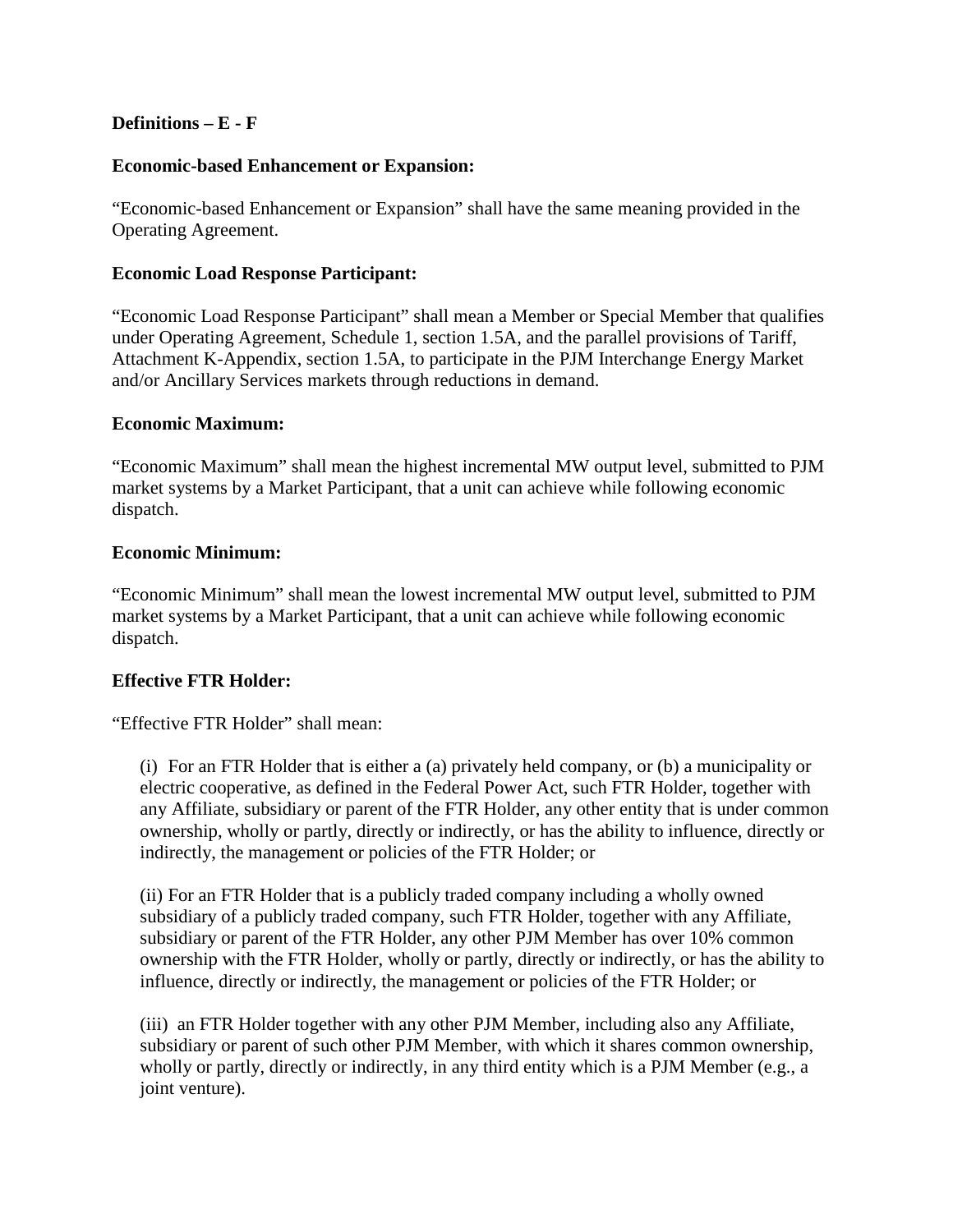### **Definitions – E - F**

#### **Economic-based Enhancement or Expansion:**

"Economic-based Enhancement or Expansion" shall have the same meaning provided in the Operating Agreement.

#### **Economic Load Response Participant:**

"Economic Load Response Participant" shall mean a Member or Special Member that qualifies under Operating Agreement, Schedule 1, section 1.5A, and the parallel provisions of Tariff, Attachment K-Appendix, section 1.5A, to participate in the PJM Interchange Energy Market and/or Ancillary Services markets through reductions in demand.

#### **Economic Maximum:**

"Economic Maximum" shall mean the highest incremental MW output level, submitted to PJM market systems by a Market Participant, that a unit can achieve while following economic dispatch.

### **Economic Minimum:**

"Economic Minimum" shall mean the lowest incremental MW output level, submitted to PJM market systems by a Market Participant, that a unit can achieve while following economic dispatch.

## **Effective FTR Holder:**

"Effective FTR Holder" shall mean:

(i) For an FTR Holder that is either a (a) privately held company, or (b) a municipality or electric cooperative, as defined in the Federal Power Act, such FTR Holder, together with any Affiliate, subsidiary or parent of the FTR Holder, any other entity that is under common ownership, wholly or partly, directly or indirectly, or has the ability to influence, directly or indirectly, the management or policies of the FTR Holder; or

(ii) For an FTR Holder that is a publicly traded company including a wholly owned subsidiary of a publicly traded company, such FTR Holder, together with any Affiliate, subsidiary or parent of the FTR Holder, any other PJM Member has over 10% common ownership with the FTR Holder, wholly or partly, directly or indirectly, or has the ability to influence, directly or indirectly, the management or policies of the FTR Holder; or

(iii) an FTR Holder together with any other PJM Member, including also any Affiliate, subsidiary or parent of such other PJM Member, with which it shares common ownership, wholly or partly, directly or indirectly, in any third entity which is a PJM Member (e.g., a joint venture).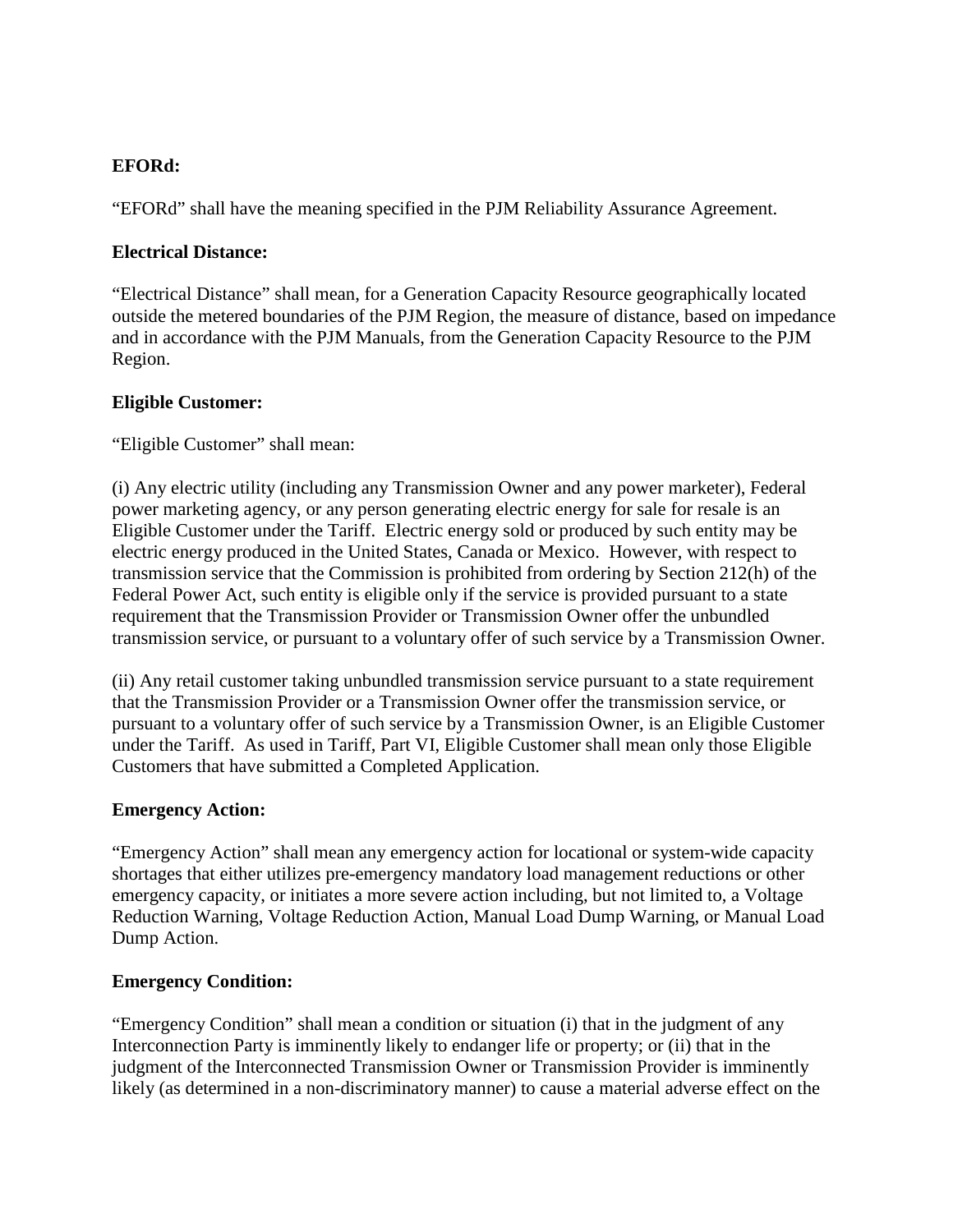## **EFORd:**

"EFORd" shall have the meaning specified in the PJM Reliability Assurance Agreement.

### **Electrical Distance:**

"Electrical Distance" shall mean, for a Generation Capacity Resource geographically located outside the metered boundaries of the PJM Region, the measure of distance, based on impedance and in accordance with the PJM Manuals, from the Generation Capacity Resource to the PJM Region.

## **Eligible Customer:**

"Eligible Customer" shall mean:

(i) Any electric utility (including any Transmission Owner and any power marketer), Federal power marketing agency, or any person generating electric energy for sale for resale is an Eligible Customer under the Tariff. Electric energy sold or produced by such entity may be electric energy produced in the United States, Canada or Mexico. However, with respect to transmission service that the Commission is prohibited from ordering by Section 212(h) of the Federal Power Act, such entity is eligible only if the service is provided pursuant to a state requirement that the Transmission Provider or Transmission Owner offer the unbundled transmission service, or pursuant to a voluntary offer of such service by a Transmission Owner.

(ii) Any retail customer taking unbundled transmission service pursuant to a state requirement that the Transmission Provider or a Transmission Owner offer the transmission service, or pursuant to a voluntary offer of such service by a Transmission Owner, is an Eligible Customer under the Tariff. As used in Tariff, Part VI, Eligible Customer shall mean only those Eligible Customers that have submitted a Completed Application.

#### **Emergency Action:**

"Emergency Action" shall mean any emergency action for locational or system-wide capacity shortages that either utilizes pre-emergency mandatory load management reductions or other emergency capacity, or initiates a more severe action including, but not limited to, a Voltage Reduction Warning, Voltage Reduction Action, Manual Load Dump Warning, or Manual Load Dump Action.

#### **Emergency Condition:**

"Emergency Condition" shall mean a condition or situation (i) that in the judgment of any Interconnection Party is imminently likely to endanger life or property; or (ii) that in the judgment of the Interconnected Transmission Owner or Transmission Provider is imminently likely (as determined in a non-discriminatory manner) to cause a material adverse effect on the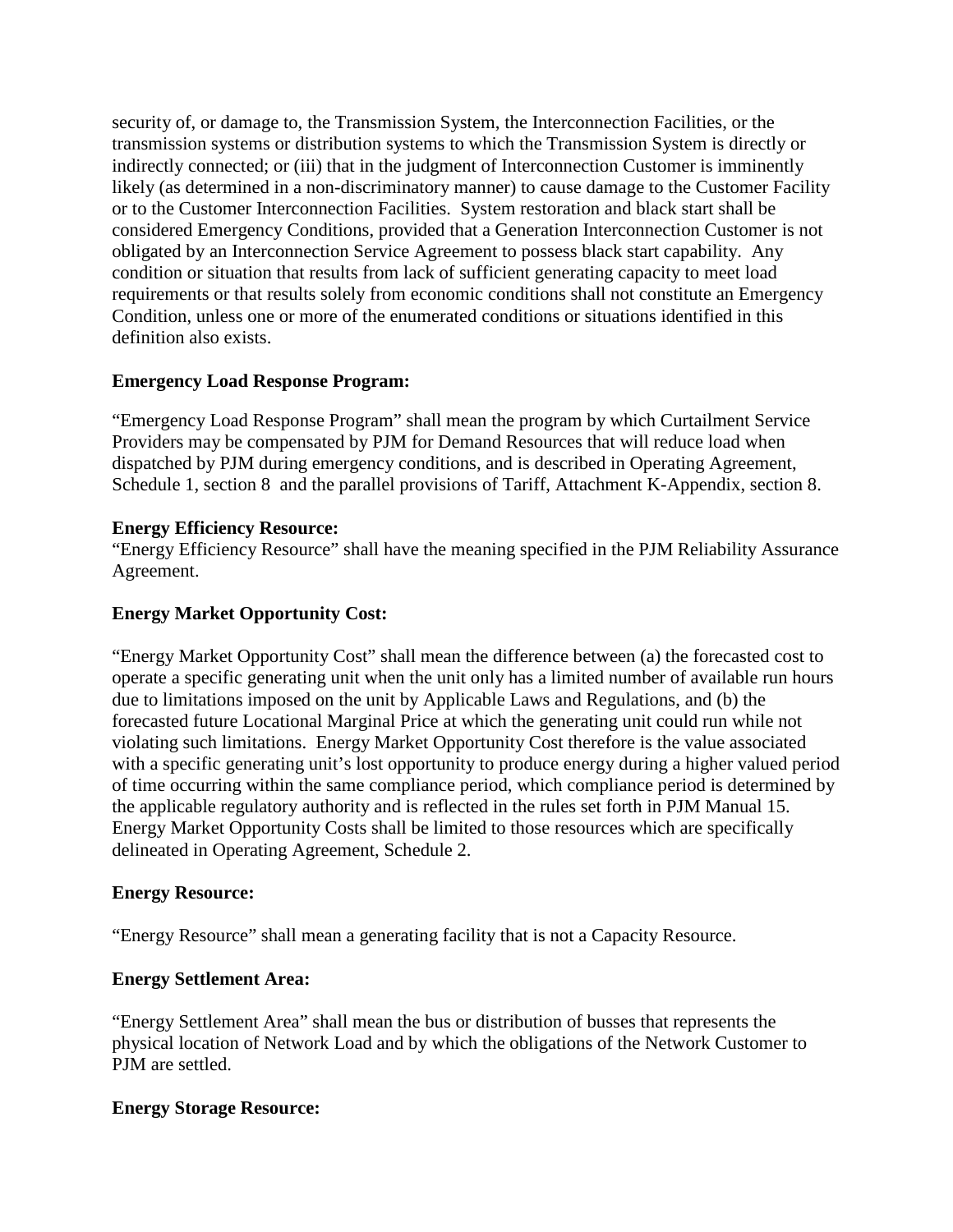security of, or damage to, the Transmission System, the Interconnection Facilities, or the transmission systems or distribution systems to which the Transmission System is directly or indirectly connected; or (iii) that in the judgment of Interconnection Customer is imminently likely (as determined in a non-discriminatory manner) to cause damage to the Customer Facility or to the Customer Interconnection Facilities. System restoration and black start shall be considered Emergency Conditions, provided that a Generation Interconnection Customer is not obligated by an Interconnection Service Agreement to possess black start capability. Any condition or situation that results from lack of sufficient generating capacity to meet load requirements or that results solely from economic conditions shall not constitute an Emergency Condition, unless one or more of the enumerated conditions or situations identified in this definition also exists.

### **Emergency Load Response Program:**

"Emergency Load Response Program" shall mean the program by which Curtailment Service Providers may be compensated by PJM for Demand Resources that will reduce load when dispatched by PJM during emergency conditions, and is described in Operating Agreement, Schedule 1, section 8 and the parallel provisions of Tariff, Attachment K-Appendix, section 8.

#### **Energy Efficiency Resource:**

"Energy Efficiency Resource" shall have the meaning specified in the PJM Reliability Assurance Agreement.

### **Energy Market Opportunity Cost:**

"Energy Market Opportunity Cost" shall mean the difference between (a) the forecasted cost to operate a specific generating unit when the unit only has a limited number of available run hours due to limitations imposed on the unit by Applicable Laws and Regulations, and (b) the forecasted future Locational Marginal Price at which the generating unit could run while not violating such limitations. Energy Market Opportunity Cost therefore is the value associated with a specific generating unit's lost opportunity to produce energy during a higher valued period of time occurring within the same compliance period, which compliance period is determined by the applicable regulatory authority and is reflected in the rules set forth in PJM Manual 15. Energy Market Opportunity Costs shall be limited to those resources which are specifically delineated in Operating Agreement, Schedule 2.

#### **Energy Resource:**

"Energy Resource" shall mean a generating facility that is not a Capacity Resource.

## **Energy Settlement Area:**

"Energy Settlement Area" shall mean the bus or distribution of busses that represents the physical location of Network Load and by which the obligations of the Network Customer to PJM are settled.

#### **Energy Storage Resource:**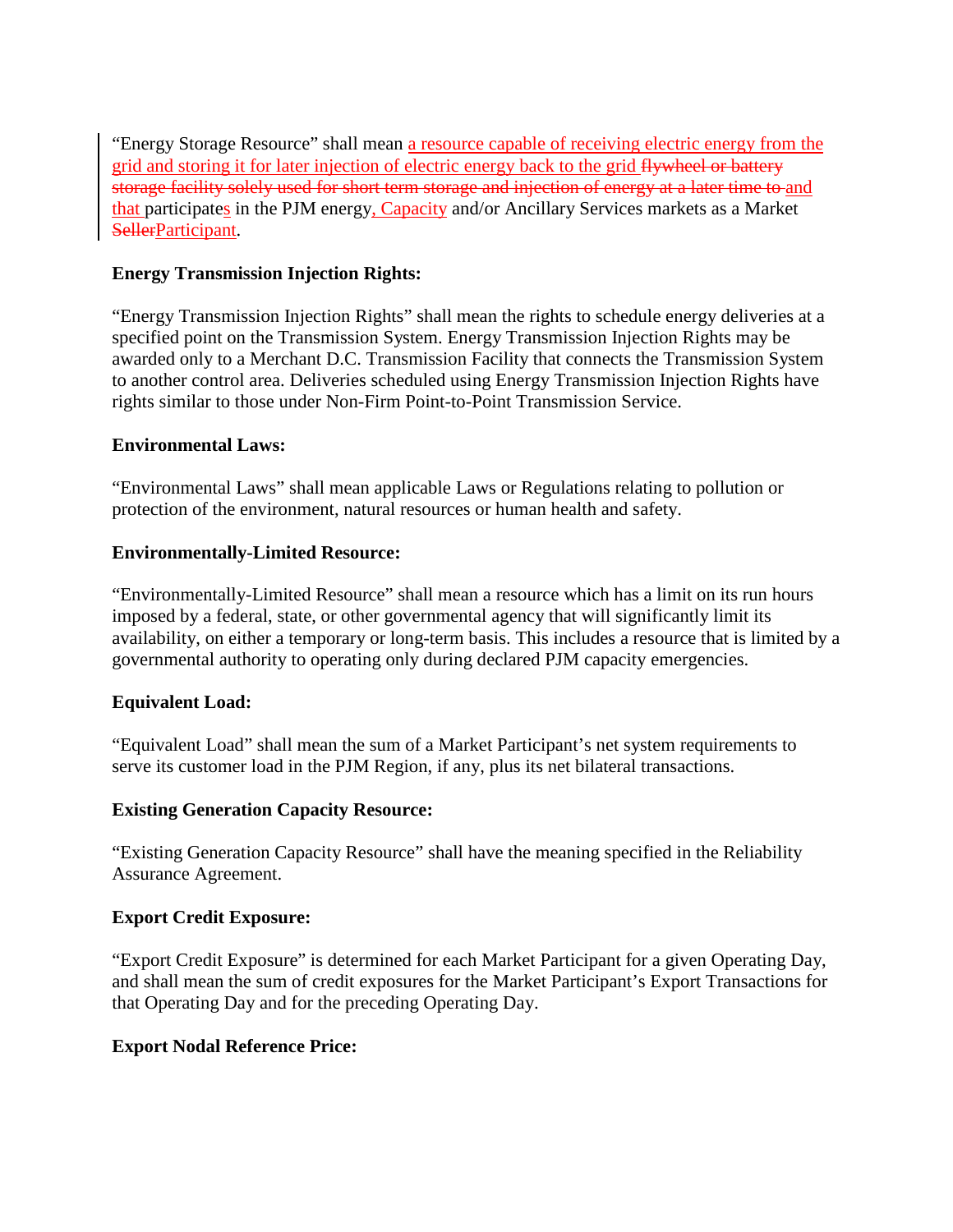"Energy Storage Resource" shall mean a resource capable of receiving electric energy from the grid and storing it for later injection of electric energy back to the grid flywheel or battery storage facility solely used for short term storage and injection of energy at a later time to and that participates in the PJM energy, Capacity and/or Ancillary Services markets as a Market SellerParticipant.

## **Energy Transmission Injection Rights:**

"Energy Transmission Injection Rights" shall mean the rights to schedule energy deliveries at a specified point on the Transmission System. Energy Transmission Injection Rights may be awarded only to a Merchant D.C. Transmission Facility that connects the Transmission System to another control area. Deliveries scheduled using Energy Transmission Injection Rights have rights similar to those under Non-Firm Point-to-Point Transmission Service.

#### **Environmental Laws:**

"Environmental Laws" shall mean applicable Laws or Regulations relating to pollution or protection of the environment, natural resources or human health and safety.

### **Environmentally-Limited Resource:**

"Environmentally-Limited Resource" shall mean a resource which has a limit on its run hours imposed by a federal, state, or other governmental agency that will significantly limit its availability, on either a temporary or long-term basis. This includes a resource that is limited by a governmental authority to operating only during declared PJM capacity emergencies.

## **Equivalent Load:**

"Equivalent Load" shall mean the sum of a Market Participant's net system requirements to serve its customer load in the PJM Region, if any, plus its net bilateral transactions.

#### **Existing Generation Capacity Resource:**

"Existing Generation Capacity Resource" shall have the meaning specified in the Reliability Assurance Agreement.

#### **Export Credit Exposure:**

"Export Credit Exposure" is determined for each Market Participant for a given Operating Day, and shall mean the sum of credit exposures for the Market Participant's Export Transactions for that Operating Day and for the preceding Operating Day.

#### **Export Nodal Reference Price:**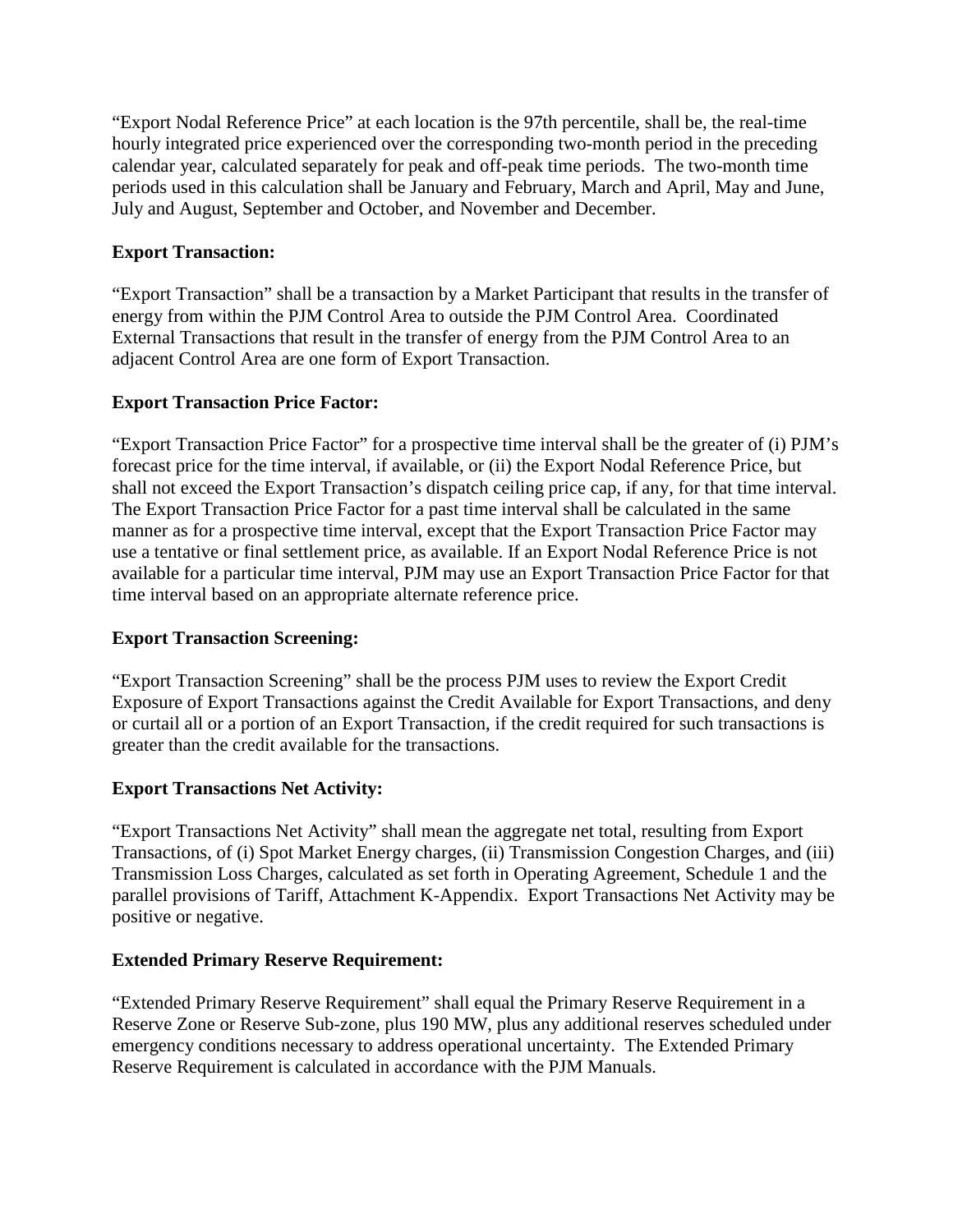"Export Nodal Reference Price" at each location is the 97th percentile, shall be, the real-time hourly integrated price experienced over the corresponding two-month period in the preceding calendar year, calculated separately for peak and off-peak time periods. The two-month time periods used in this calculation shall be January and February, March and April, May and June, July and August, September and October, and November and December.

# **Export Transaction:**

"Export Transaction" shall be a transaction by a Market Participant that results in the transfer of energy from within the PJM Control Area to outside the PJM Control Area. Coordinated External Transactions that result in the transfer of energy from the PJM Control Area to an adjacent Control Area are one form of Export Transaction.

# **Export Transaction Price Factor:**

"Export Transaction Price Factor" for a prospective time interval shall be the greater of (i) PJM's forecast price for the time interval, if available, or (ii) the Export Nodal Reference Price, but shall not exceed the Export Transaction's dispatch ceiling price cap, if any, for that time interval. The Export Transaction Price Factor for a past time interval shall be calculated in the same manner as for a prospective time interval, except that the Export Transaction Price Factor may use a tentative or final settlement price, as available. If an Export Nodal Reference Price is not available for a particular time interval, PJM may use an Export Transaction Price Factor for that time interval based on an appropriate alternate reference price.

## **Export Transaction Screening:**

"Export Transaction Screening" shall be the process PJM uses to review the Export Credit Exposure of Export Transactions against the Credit Available for Export Transactions, and deny or curtail all or a portion of an Export Transaction, if the credit required for such transactions is greater than the credit available for the transactions.

# **Export Transactions Net Activity:**

"Export Transactions Net Activity" shall mean the aggregate net total, resulting from Export Transactions, of (i) Spot Market Energy charges, (ii) Transmission Congestion Charges, and (iii) Transmission Loss Charges, calculated as set forth in Operating Agreement, Schedule 1 and the parallel provisions of Tariff, Attachment K-Appendix. Export Transactions Net Activity may be positive or negative.

## **Extended Primary Reserve Requirement:**

"Extended Primary Reserve Requirement" shall equal the Primary Reserve Requirement in a Reserve Zone or Reserve Sub-zone, plus 190 MW, plus any additional reserves scheduled under emergency conditions necessary to address operational uncertainty. The Extended Primary Reserve Requirement is calculated in accordance with the PJM Manuals.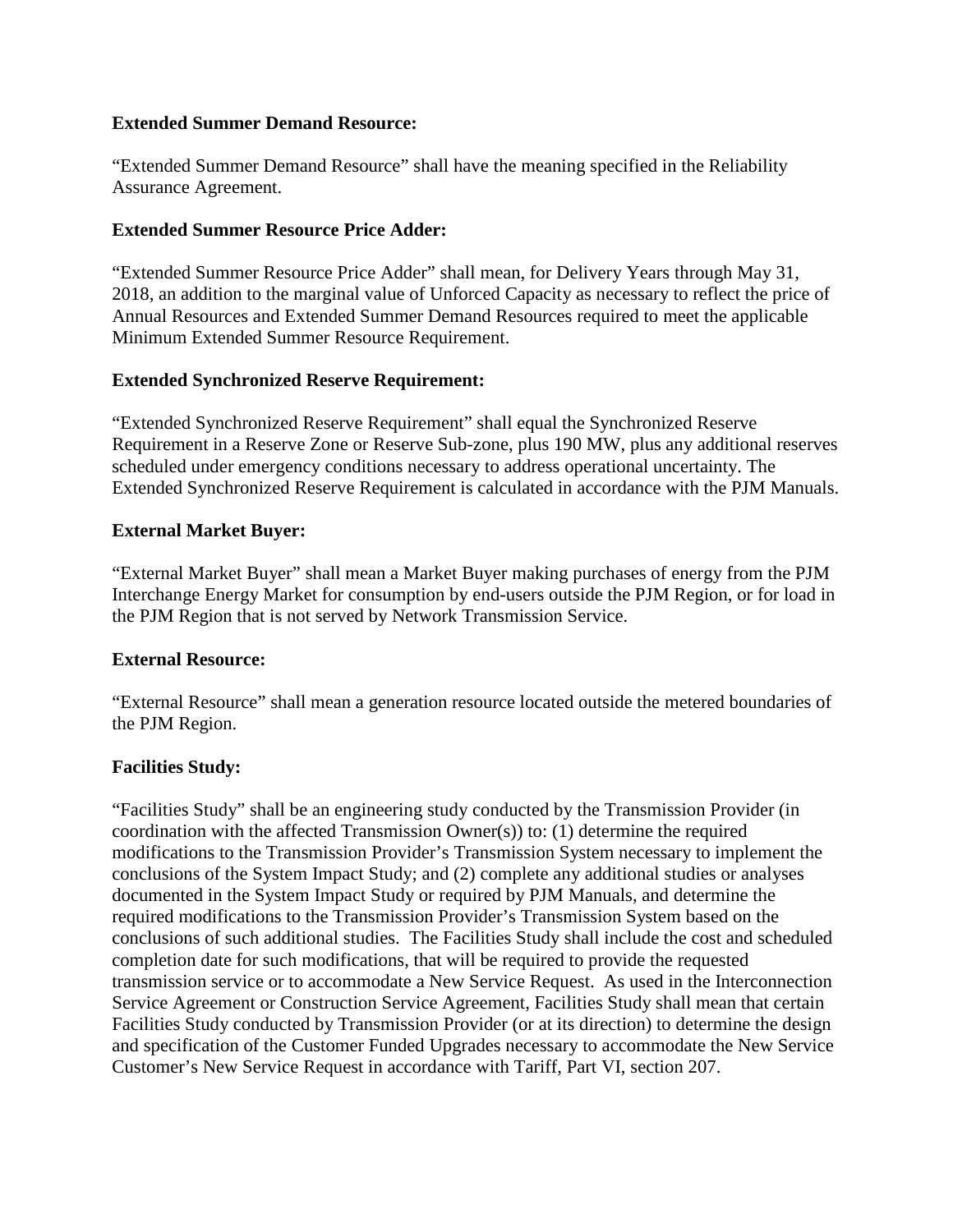#### **Extended Summer Demand Resource:**

"Extended Summer Demand Resource" shall have the meaning specified in the Reliability Assurance Agreement.

## **Extended Summer Resource Price Adder:**

"Extended Summer Resource Price Adder" shall mean, for Delivery Years through May 31, 2018, an addition to the marginal value of Unforced Capacity as necessary to reflect the price of Annual Resources and Extended Summer Demand Resources required to meet the applicable Minimum Extended Summer Resource Requirement.

### **Extended Synchronized Reserve Requirement:**

"Extended Synchronized Reserve Requirement" shall equal the Synchronized Reserve Requirement in a Reserve Zone or Reserve Sub-zone, plus 190 MW, plus any additional reserves scheduled under emergency conditions necessary to address operational uncertainty. The Extended Synchronized Reserve Requirement is calculated in accordance with the PJM Manuals.

### **External Market Buyer:**

"External Market Buyer" shall mean a Market Buyer making purchases of energy from the PJM Interchange Energy Market for consumption by end-users outside the PJM Region, or for load in the PJM Region that is not served by Network Transmission Service.

## **External Resource:**

"External Resource" shall mean a generation resource located outside the metered boundaries of the PJM Region.

## **Facilities Study:**

"Facilities Study" shall be an engineering study conducted by the Transmission Provider (in coordination with the affected Transmission Owner(s)) to: (1) determine the required modifications to the Transmission Provider's Transmission System necessary to implement the conclusions of the System Impact Study; and (2) complete any additional studies or analyses documented in the System Impact Study or required by PJM Manuals, and determine the required modifications to the Transmission Provider's Transmission System based on the conclusions of such additional studies. The Facilities Study shall include the cost and scheduled completion date for such modifications, that will be required to provide the requested transmission service or to accommodate a New Service Request. As used in the Interconnection Service Agreement or Construction Service Agreement, Facilities Study shall mean that certain Facilities Study conducted by Transmission Provider (or at its direction) to determine the design and specification of the Customer Funded Upgrades necessary to accommodate the New Service Customer's New Service Request in accordance with Tariff, Part VI, section 207.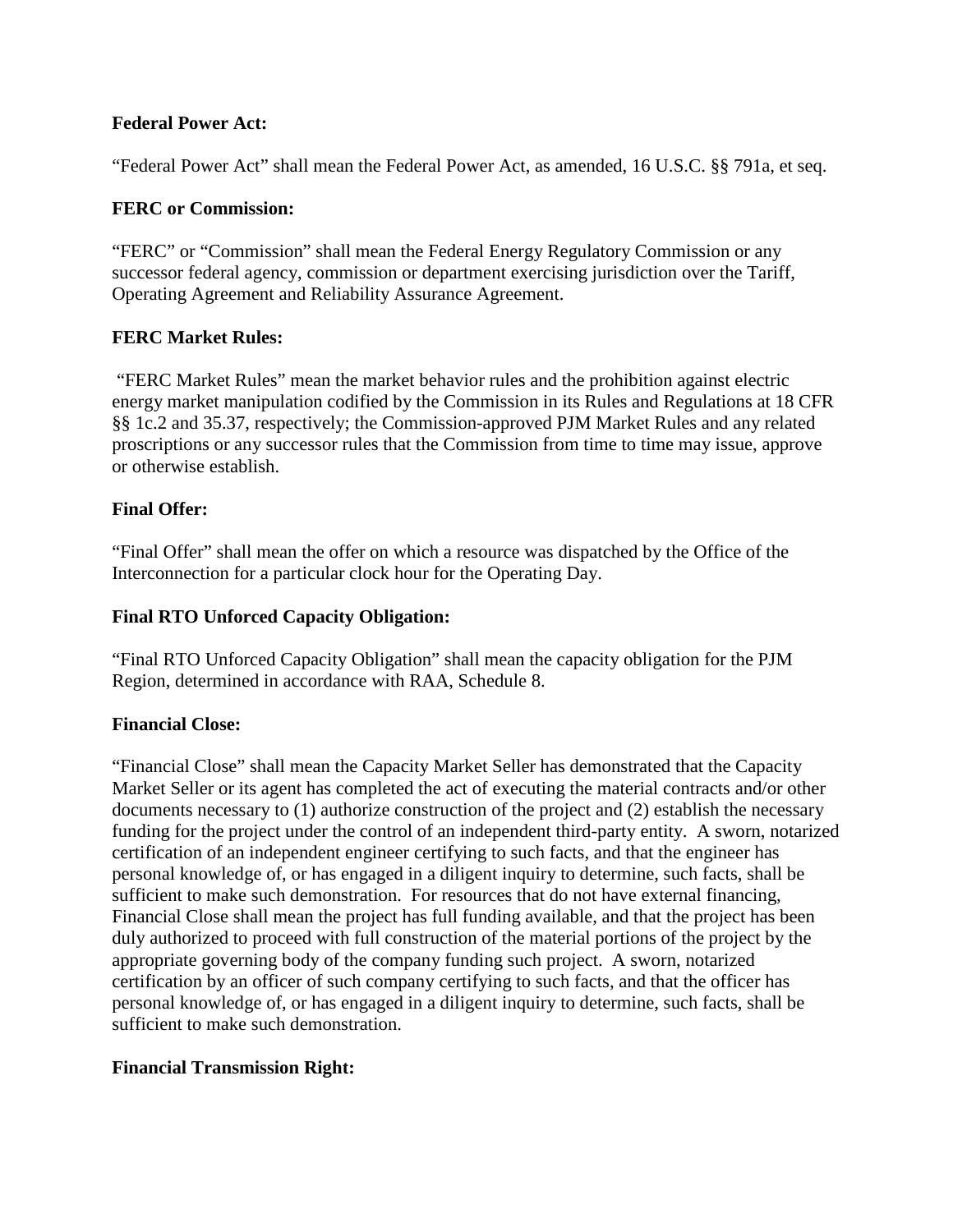### **Federal Power Act:**

"Federal Power Act" shall mean the Federal Power Act, as amended, 16 U.S.C. §§ 791a, et seq.

### **FERC or Commission:**

"FERC" or "Commission" shall mean the Federal Energy Regulatory Commission or any successor federal agency, commission or department exercising jurisdiction over the Tariff, Operating Agreement and Reliability Assurance Agreement.

## **FERC Market Rules:**

"FERC Market Rules" mean the market behavior rules and the prohibition against electric energy market manipulation codified by the Commission in its Rules and Regulations at 18 CFR §§ 1c.2 and 35.37, respectively; the Commission-approved PJM Market Rules and any related proscriptions or any successor rules that the Commission from time to time may issue, approve or otherwise establish.

### **Final Offer:**

"Final Offer" shall mean the offer on which a resource was dispatched by the Office of the Interconnection for a particular clock hour for the Operating Day.

#### **Final RTO Unforced Capacity Obligation:**

"Final RTO Unforced Capacity Obligation" shall mean the capacity obligation for the PJM Region, determined in accordance with RAA, Schedule 8.

#### **Financial Close:**

"Financial Close" shall mean the Capacity Market Seller has demonstrated that the Capacity Market Seller or its agent has completed the act of executing the material contracts and/or other documents necessary to (1) authorize construction of the project and (2) establish the necessary funding for the project under the control of an independent third-party entity. A sworn, notarized certification of an independent engineer certifying to such facts, and that the engineer has personal knowledge of, or has engaged in a diligent inquiry to determine, such facts, shall be sufficient to make such demonstration. For resources that do not have external financing, Financial Close shall mean the project has full funding available, and that the project has been duly authorized to proceed with full construction of the material portions of the project by the appropriate governing body of the company funding such project. A sworn, notarized certification by an officer of such company certifying to such facts, and that the officer has personal knowledge of, or has engaged in a diligent inquiry to determine, such facts, shall be sufficient to make such demonstration.

#### **Financial Transmission Right:**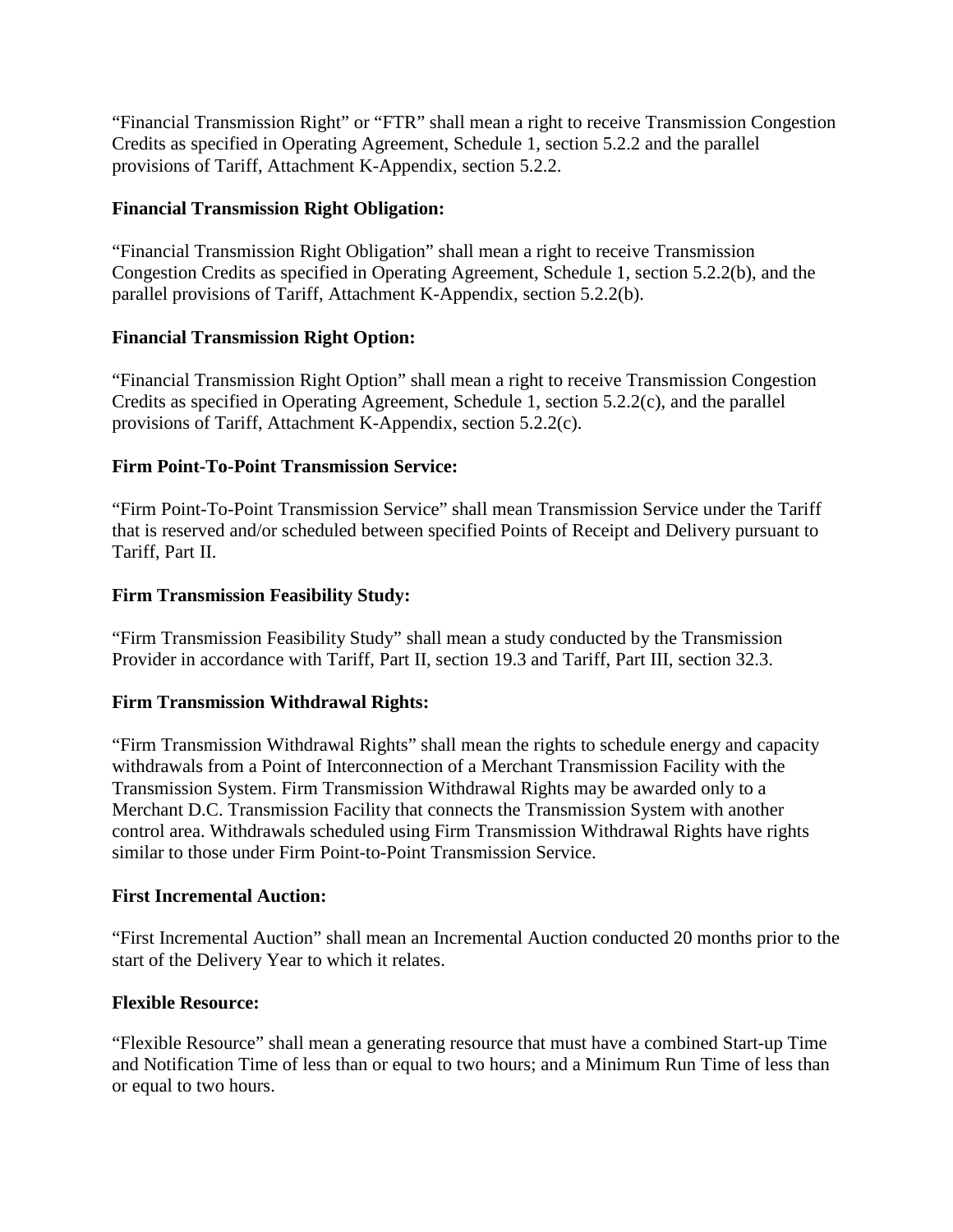"Financial Transmission Right" or "FTR" shall mean a right to receive Transmission Congestion Credits as specified in Operating Agreement, Schedule 1, section 5.2.2 and the parallel provisions of Tariff, Attachment K-Appendix, section 5.2.2.

## **Financial Transmission Right Obligation:**

"Financial Transmission Right Obligation" shall mean a right to receive Transmission Congestion Credits as specified in Operating Agreement, Schedule 1, section 5.2.2(b), and the parallel provisions of Tariff, Attachment K-Appendix, section 5.2.2(b).

# **Financial Transmission Right Option:**

"Financial Transmission Right Option" shall mean a right to receive Transmission Congestion Credits as specified in Operating Agreement, Schedule 1, section 5.2.2(c), and the parallel provisions of Tariff, Attachment K-Appendix, section 5.2.2(c).

# **Firm Point-To-Point Transmission Service:**

"Firm Point-To-Point Transmission Service" shall mean Transmission Service under the Tariff that is reserved and/or scheduled between specified Points of Receipt and Delivery pursuant to Tariff, Part II.

# **Firm Transmission Feasibility Study:**

"Firm Transmission Feasibility Study" shall mean a study conducted by the Transmission Provider in accordance with Tariff, Part II, section 19.3 and Tariff, Part III, section 32.3.

## **Firm Transmission Withdrawal Rights:**

"Firm Transmission Withdrawal Rights" shall mean the rights to schedule energy and capacity withdrawals from a Point of Interconnection of a Merchant Transmission Facility with the Transmission System. Firm Transmission Withdrawal Rights may be awarded only to a Merchant D.C. Transmission Facility that connects the Transmission System with another control area. Withdrawals scheduled using Firm Transmission Withdrawal Rights have rights similar to those under Firm Point-to-Point Transmission Service.

## **First Incremental Auction:**

"First Incremental Auction" shall mean an Incremental Auction conducted 20 months prior to the start of the Delivery Year to which it relates.

## **Flexible Resource:**

"Flexible Resource" shall mean a generating resource that must have a combined Start-up Time and Notification Time of less than or equal to two hours; and a Minimum Run Time of less than or equal to two hours.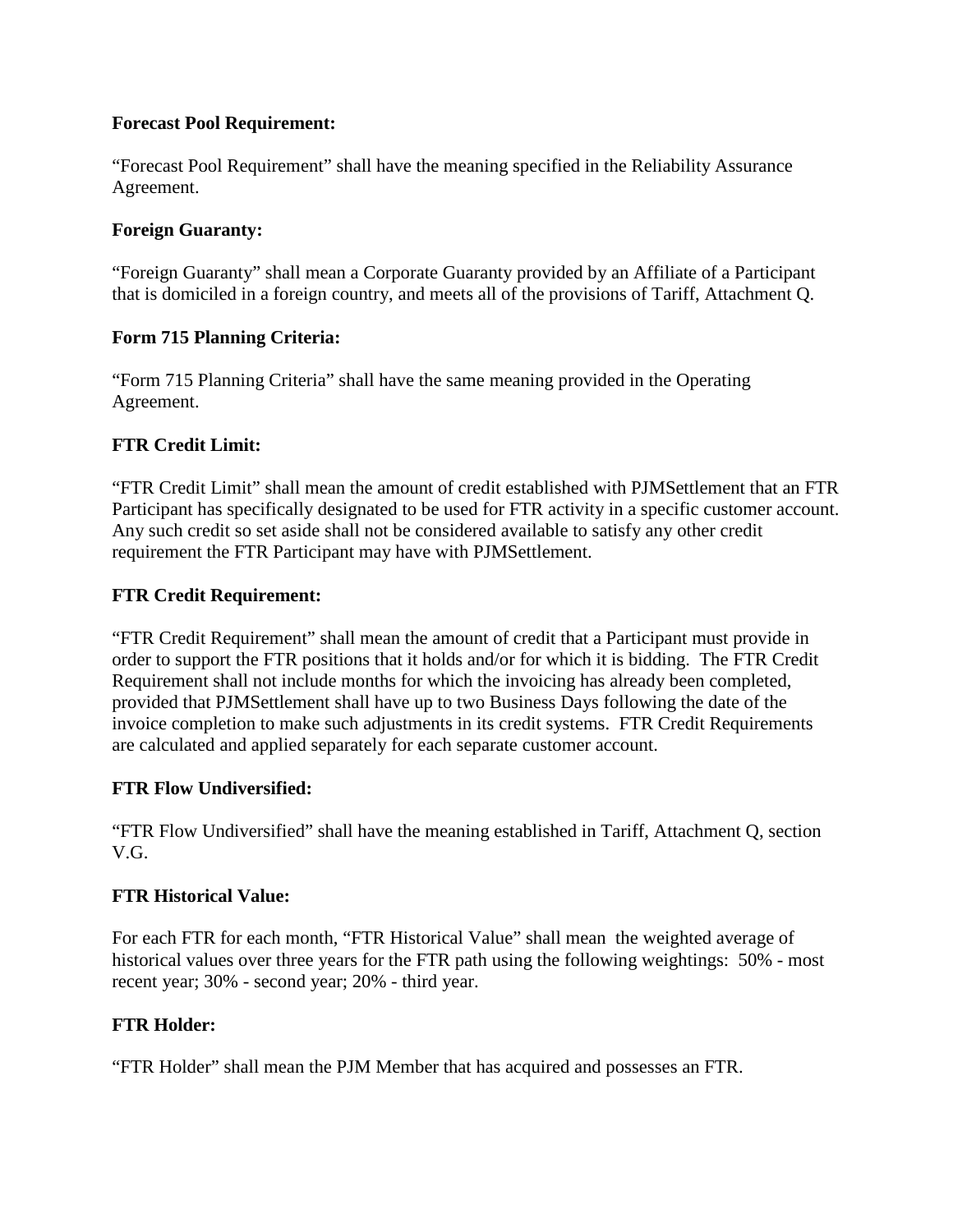## **Forecast Pool Requirement:**

"Forecast Pool Requirement" shall have the meaning specified in the Reliability Assurance Agreement.

# **Foreign Guaranty:**

"Foreign Guaranty" shall mean a Corporate Guaranty provided by an Affiliate of a Participant that is domiciled in a foreign country, and meets all of the provisions of Tariff, Attachment Q.

# **Form 715 Planning Criteria:**

"Form 715 Planning Criteria" shall have the same meaning provided in the Operating Agreement.

# **FTR Credit Limit:**

"FTR Credit Limit" shall mean the amount of credit established with PJMSettlement that an FTR Participant has specifically designated to be used for FTR activity in a specific customer account. Any such credit so set aside shall not be considered available to satisfy any other credit requirement the FTR Participant may have with PJMSettlement.

# **FTR Credit Requirement:**

"FTR Credit Requirement" shall mean the amount of credit that a Participant must provide in order to support the FTR positions that it holds and/or for which it is bidding. The FTR Credit Requirement shall not include months for which the invoicing has already been completed, provided that PJMSettlement shall have up to two Business Days following the date of the invoice completion to make such adjustments in its credit systems. FTR Credit Requirements are calculated and applied separately for each separate customer account.

## **FTR Flow Undiversified:**

"FTR Flow Undiversified" shall have the meaning established in Tariff, Attachment Q, section V.G.

## **FTR Historical Value:**

For each FTR for each month, "FTR Historical Value" shall mean the weighted average of historical values over three years for the FTR path using the following weightings: 50% - most recent year; 30% - second year; 20% - third year.

## **FTR Holder:**

"FTR Holder" shall mean the PJM Member that has acquired and possesses an FTR.